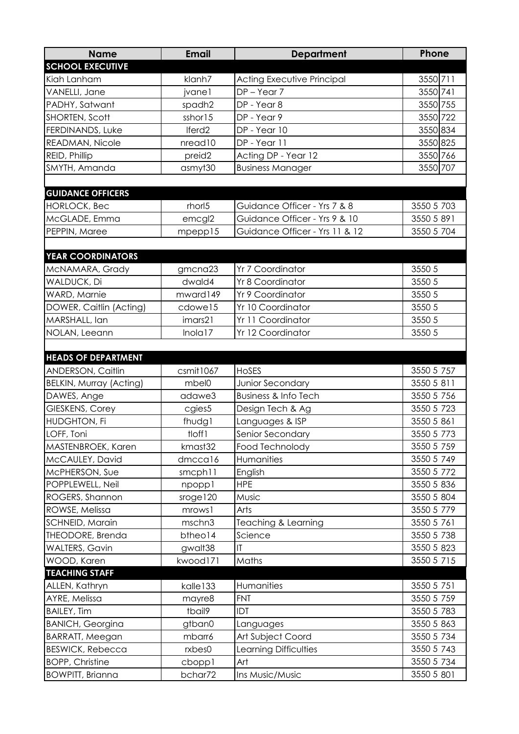| <b>Name</b>                    | <b>Email</b>          | <b>Department</b>                 | Phone      |
|--------------------------------|-----------------------|-----------------------------------|------------|
| <b>SCHOOL EXECUTIVE</b>        |                       |                                   |            |
| Kiah Lanham                    | klanh7                | <b>Acting Executive Principal</b> | 3550 711   |
| VANELLI, Jane                  | jvane1                | $DP - Year 7$                     | 3550 741   |
| PADHY, Satwant                 | spadh2                | DP - Year 8                       | 3550 755   |
| SHORTEN, Scott                 | sshor15               | DP - Year 9                       | 3550 722   |
| FERDINANDS, Luke               | Iferd <sub>2</sub>    | DP - Year 10                      | 3550 834   |
| READMAN, Nicole                | nread10               | DP - Year 11                      | 3550 825   |
| REID, Phillip                  | preid <sub>2</sub>    | Acting DP - Year 12               | 3550 766   |
| SMYTH, Amanda                  | asmyt30               | <b>Business Manager</b>           | 3550 707   |
|                                |                       |                                   |            |
| <b>GUIDANCE OFFICERS</b>       |                       |                                   |            |
| <b>HORLOCK, Bec</b>            | rhorl <sub>5</sub>    | Guidance Officer - Yrs 7 & 8      | 3550 5 703 |
| McGLADE, Emma                  | emcgl2                | Guidance Officer - Yrs 9 & 10     | 3550 5 891 |
| PEPPIN, Maree                  | mpepp15               | Guidance Officer - Yrs 11 & 12    | 3550 5 704 |
|                                |                       |                                   |            |
| <b>YEAR COORDINATORS</b>       |                       |                                   |            |
| MCNAMARA, Grady                | gmcna23               | Yr 7 Coordinator                  | 3550 5     |
| WALDUCK, Di                    | dwald4                | Yr 8 Coordinator                  | 3550 5     |
| WARD, Marnie                   | mward149              | Yr 9 Coordinator                  | 3550 5     |
| DOWER, Caitlin (Acting)        | cdowe15               | Yr 10 Coordinator                 | 3550 5     |
| MARSHALL, Ian                  | imars21               | Yr 11 Coordinator                 | 3550 5     |
| NOLAN, Leeann                  | Inola17               | Yr 12 Coordinator                 | 3550 5     |
|                                |                       |                                   |            |
| <b>HEADS OF DEPARTMENT</b>     |                       |                                   |            |
| <b>ANDERSON, Caitlin</b>       | csmit1067             | <b>HOSES</b>                      | 3550 5 757 |
| <b>BELKIN, Murray (Acting)</b> | mbel0                 | Junior Secondary                  | 3550 5 811 |
| DAWES, Ange                    | adawe3                | <b>Business &amp; Info Tech</b>   | 3550 5 756 |
| GIESKENS, Corey                | cgies5                | Design Tech & Ag                  | 3550 5 723 |
| HUDGHTON, Fi                   | fhudgl                | Languages & ISP                   | 3550 5 861 |
| LOFF, Toni                     | tloff1                | Senior Secondary                  | 3550 5 773 |
| MASTENBROEK, Karen             | kmast32               | Food Technolody                   | 3550 5 759 |
| McCAULEY, David                | dmccal6               | Humanities                        | 3550 5 749 |
| McPHERSON, Sue                 | smcph11               | English                           | 3550 5 772 |
| POPPLEWELL, Neil               | npoppl                | <b>HPE</b>                        | 3550 5 836 |
| ROGERS, Shannon                | s <sub>roge</sub> 120 | Music                             | 3550 5 804 |
| ROWSE, Melissa                 | mrows1                | Arts                              | 3550 5 779 |
| SCHNEID, Marain                | mschn3                | Teaching & Learning               | 3550 5 761 |
| THEODORE, Brenda               | btheo14               | Science                           | 3550 5 738 |
| <b>WALTERS, Gavin</b>          | gwalt38               | IT                                | 3550 5 823 |
| WOOD, Karen                    | kwood171              | Maths                             | 3550 5 715 |
| <b>TEACHING STAFF</b>          |                       |                                   |            |
| ALLEN, Kathryn                 | kalle <sub>133</sub>  | Humanities                        | 3550 5 751 |
| AYRE, Melissa                  | mayre8                | <b>FNT</b>                        | 3550 5 759 |
| <b>BAILEY, Tim</b>             | tbail9                | IDT                               | 3550 5 783 |
| <b>BANICH, Georgina</b>        | gtban0                | Languages                         | 3550 5 863 |
| <b>BARRATT, Meegan</b>         | mbarr6                | Art Subject Coord                 | 3550 5 734 |
| <b>BESWICK, Rebecca</b>        | rxbes0                | Learning Difficulties             | 3550 5 743 |
| <b>BOPP, Christine</b>         | cboppl                | Art                               | 3550 5 734 |
| <b>BOWPITT, Brianna</b>        | bchar72               | Ins Music/Music                   | 3550 5 801 |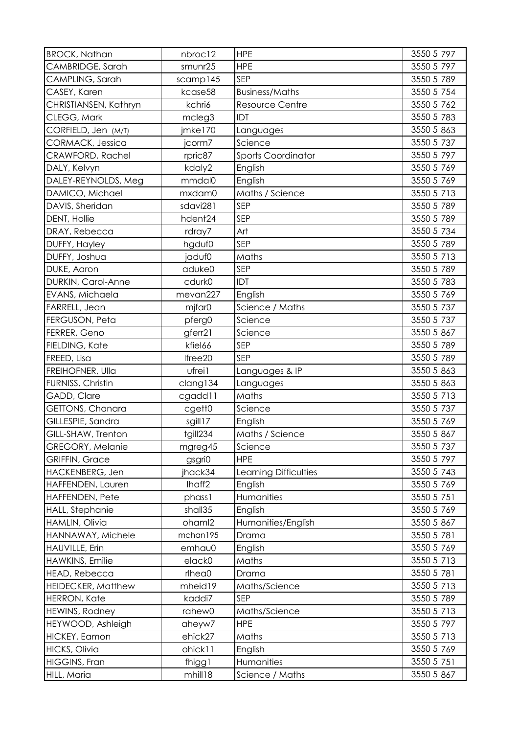| <b>BROCK, Nathan</b>      | nbroc12            | <b>HPE</b>             | 3550 5 797 |
|---------------------------|--------------------|------------------------|------------|
| CAMBRIDGE, Sarah          | smunr25            | <b>HPE</b>             | 3550 5 797 |
| CAMPLING, Sarah           | scamp145           | SEP                    | 3550 5 789 |
| CASEY, Karen              | kcase58            | <b>Business/Maths</b>  | 3550 5 754 |
| CHRISTIANSEN, Kathryn     | kchri6             | <b>Resource Centre</b> | 3550 5 762 |
| CLEGG, Mark               | mcleg3             | IDT                    | 3550 5 783 |
| CORFIELD, Jen (M/T)       | jmke170            | Languages              | 3550 5 863 |
| CORMACK, Jessica          | jcorm7             | Science                | 3550 5 737 |
| CRAWFORD, Rachel          | rpric87            | Sports Coordinator     | 3550 5 797 |
| DALY, Kelvyn              | kdaly2             | English                | 3550 5 769 |
| DALEY-REYNOLDS, Meg       | mmdal0             | English                | 3550 5 769 |
| DAMICO, Michael           | mxdam0             | Maths / Science        | 3550 5 713 |
| DAVIS, Sheridan           | sdavi281           | SEP                    | 3550 5 789 |
| DENT, Hollie              | hdent24            | <b>SEP</b>             | 3550 5 789 |
| DRAY, Rebecca             | rdray7             | Art                    | 3550 5 734 |
| DUFFY, Hayley             | hgduf0             | SEP                    | 3550 5 789 |
| DUFFY, Joshua             | jaduf0             | Maths                  | 3550 5 713 |
| DUKE, Aaron               | aduke0             | SEP                    | 3550 5 789 |
| DURKIN, Carol-Anne        | cdurk0             | IDT                    | 3550 5 783 |
| EVANS, Michaela           | mevan227           | English                | 3550 5 769 |
| FARRELL, Jean             | mjfar0             | Science / Maths        | 3550 5 737 |
| FERGUSON, Peta            | pferg0             | Science                | 3550 5 737 |
| FERRER, Geno              | gferr21            | Science                | 3550 5 867 |
| FIELDING, Kate            | kfiel66            | SEP                    | 3550 5 789 |
| FREED, Lisa               | Ifree20            | SEP                    | 3550 5 789 |
| FREIHOFNER, Ulla          | ufrei1             | Languages & IP         | 3550 5 863 |
| FURNISS, Christin         | clang134           | Languages              | 3550 5 863 |
| GADD, Clare               | cgadd11            | Maths                  | 3550 5 713 |
| GETTONS, Chanara          | cgett0             | Science                | 3550 5 737 |
| GILLESPIE, Sandra         | sgill17            | English                | 3550 5 769 |
| GILL-SHAW, Trenton        | tgill234           | Maths / Science        | 3550 5 867 |
| GREGORY, Melanie          | mgreg45            | Science                | 3550 5 737 |
| <b>GRIFFIN, Grace</b>     | gsgri0             | <b>HPE</b>             | 3550 5 797 |
| HACKENBERG, Jen           | jhack34            | Learning Difficulties  | 3550 5 743 |
| HAFFENDEN, Lauren         | Ihaff2             | English                | 3550 5 769 |
| HAFFENDEN, Pete           | phass1             | Humanities             | 3550 5 751 |
| HALL, Stephanie           | shall35            | English                | 3550 5 769 |
| HAMLIN, Olivia            | oham <sup>12</sup> | Humanities/English     | 3550 5 867 |
| HANNAWAY, Michele         | mchan195           | Drama                  | 3550 5 781 |
| HAUVILLE, Erin            | emhau0             | English                | 3550 5 769 |
| HAWKINS, Emilie           | elack0             | Maths                  | 3550 5 713 |
| HEAD, Rebecca             | rlhea0             | Drama                  | 3550 5 781 |
| <b>HEIDECKER, Matthew</b> | mheid19            | Maths/Science          | 3550 5 713 |
| <b>HERRON, Kate</b>       | kaddi7             | <b>SEP</b>             | 3550 5 789 |
| HEWINS, Rodney            | rahew0             | Maths/Science          | 3550 5 713 |
| HEYWOOD, Ashleigh         | aheyw7             | <b>HPE</b>             | 3550 5 797 |
| HICKEY, Eamon             | ehick27            | Maths                  | 3550 5 713 |
| <b>HICKS, Olivia</b>      | ohick11            | English                | 3550 5 769 |
| <b>HIGGINS, Fran</b>      | fhigg1             | Humanities             | 3550 5 751 |
| HILL, Maria               | mhill18            | Science / Maths        | 3550 5 867 |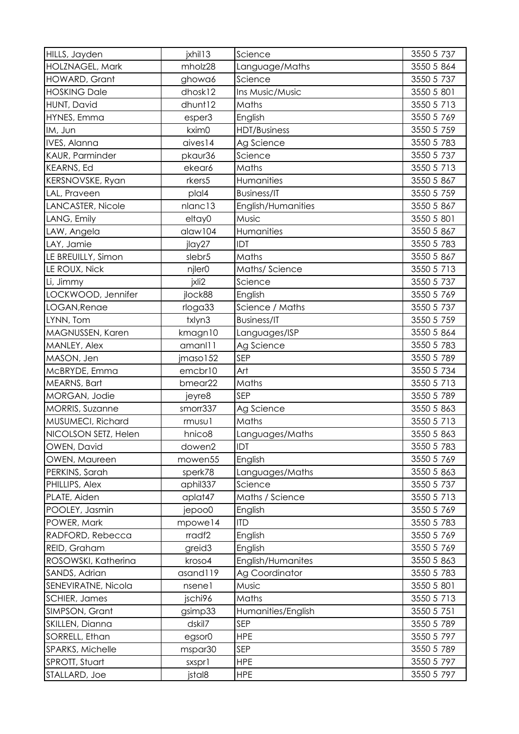| HILLS, Jayden          | jxhil13            | Science            | 3550 5 737 |
|------------------------|--------------------|--------------------|------------|
| HOLZNAGEL, Mark        | mholz28            | Language/Maths     | 3550 5 864 |
| <b>HOWARD, Grant</b>   | ghowa6             | Science            | 3550 5 737 |
| <b>HOSKING Dale</b>    | dhosk12            | Ins Music/Music    | 3550 5 801 |
| HUNT, David            | dhunt12            | Maths              | 3550 5 713 |
| HYNES, Emma            | esper3             | English            | 3550 5 769 |
| IM, Jun                | kxim0              | HDT/Business       | 3550 5 759 |
| IVES, Alanna           | aives14            | Ag Science         | 3550 5 783 |
| KAUR, Parminder        | pkaur36            | Science            | 3550 5 737 |
| <b>KEARNS, Ed</b>      | ekear6             | Maths              | 3550 5 713 |
| KERSNOVSKE, Ryan       | rkers5             | Humanities         | 3550 5 867 |
| LAL, Praveen           | plal4              | <b>Business/IT</b> | 3550 5 759 |
| LANCASTER, Nicole      | nlanc13            | English/Humanities | 3550 5 867 |
| LANG, Emily            | eltay0             | Music              | 3550 5 801 |
| LAW, Angela            | alaw104            | Humanities         | 3550 5 867 |
| LAY, Jamie             | jlay27             | IDT                | 3550 5 783 |
| LE BREUILLY, Simon     | slebr <sub>5</sub> | Maths              | 3550 5 867 |
| LE ROUX, Nick          | njler0             | Maths/Science      | 3550 5 713 |
| Li, Jimmy              | jxli2              | Science            | 3550 5 737 |
| LOCKWOOD, Jennifer     | jlock88            | English            | 3550 5 769 |
| LOGAN, Renae           | rloga33            | Science / Maths    | 3550 5 737 |
| LYNN, Tom              | txlyn3             | <b>Business/IT</b> | 3550 5 759 |
| MAGNUSSEN, Karen       | kmagn10            | Languages/ISP      | 3550 5 864 |
| MANLEY, Alex           | amanl11            | Ag Science         | 3550 5 783 |
| MASON, Jen             | jmaso152           | <b>SEP</b>         | 3550 5 789 |
| McBRYDE, Emma          | emcbr10            | Art                | 3550 5 734 |
| MEARNS, Bart           | bmear22            | Maths              | 3550 5 713 |
| MORGAN, Jodie          | jeyre8             | <b>SEP</b>         | 3550 5 789 |
| <b>MORRIS, Suzanne</b> | smorr337           | Ag Science         | 3550 5 863 |
| MUSUMECI, Richard      | rmusu1             | Maths              | 3550 5 713 |
| NICOLSON SETZ, Helen   | hnico <sub>8</sub> | Languages/Maths    | 3550 5 863 |
| OWEN, David            | dowen2             | IDT                | 3550 5 783 |
| OWEN, Maureen          | mowen55            | English            | 3550 5 769 |
| PERKINS, Sarah         | sperk78            | Languages/Maths    | 3550 5 863 |
| PHILLIPS, Alex         | aphil337           | Science            | 3550 5 737 |
| PLATE, Aiden           | aplat47            | Maths / Science    | 3550 5 713 |
| POOLEY, Jasmin         | jepoo0             | English            | 3550 5 769 |
| POWER, Mark            | mpowe14            | <b>ITD</b>         | 3550 5 783 |
| RADFORD, Rebecca       | rradf <sub>2</sub> | English            | 3550 5 769 |
| REID, Graham           | greid <sub>3</sub> | English            | 3550 5 769 |
| ROSOWSKI, Katherina    | kroso4             | English/Humanites  | 3550 5 863 |
| SANDS, Adrian          | asand119           | Ag Coordinator     | 3550 5 783 |
| SENEVIRATNE, Nicola    | nsene1             | Music              | 3550 5 801 |
| <b>SCHIER, James</b>   | jschi96            | Maths              | 3550 5 713 |
| SIMPSON, Grant         | gsimp33            | Humanities/English | 3550 5 751 |
| SKILLEN, Dianna        | dskil7             | SEP                | 3550 5 789 |
| SORRELL, Ethan         | egsor0             | <b>HPE</b>         | 3550 5 797 |
| SPARKS, Michelle       | mspar30            | <b>SEP</b>         | 3550 5 789 |
| SPROTT, Stuart         | sxspr1             | <b>HPE</b>         | 3550 5 797 |
| STALLARD, Joe          | jstal8             | <b>HPE</b>         | 3550 5 797 |